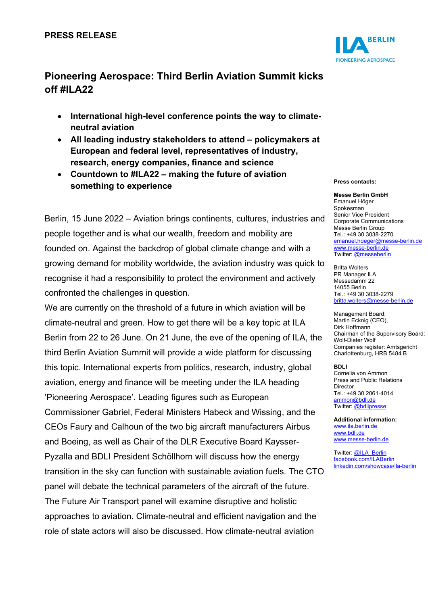

## **Pioneering Aerospace: Third Berlin Aviation Summit kicks off #ILA22**

- **International high-level conference points the way to climateneutral aviation**
- **All leading industry stakeholders to attend – policymakers at European and federal level, representatives of industry, research, energy companies, finance and science**
- **Countdown to #ILA22 – making the future of aviation something to experience**

Berlin, 15 June 2022 – Aviation brings continents, cultures, industries and people together and is what our wealth, freedom and mobility are founded on. Against the backdrop of global climate change and with a growing demand for mobility worldwide, the aviation industry was quick to recognise it had a responsibility to protect the environment and actively confronted the challenges in question.

We are currently on the threshold of a future in which aviation will be climate-neutral and green. How to get there will be a key topic at ILA Berlin from 22 to 26 June. On 21 June, the eve of the opening of ILA, the third Berlin Aviation Summit will provide a wide platform for discussing this topic. International experts from politics, research, industry, global aviation, energy and finance will be meeting under the ILA heading 'Pioneering Aerospace'. Leading figures such as European Commissioner Gabriel, Federal Ministers Habeck and Wissing, and the CEOs Faury and Calhoun of the two big aircraft manufacturers Airbus and Boeing, as well as Chair of the DLR Executive Board Kaysser-Pyzalla and BDLI President Schöllhorn will discuss how the energy transition in the sky can function with sustainable aviation fuels. The CTO panel will debate the technical parameters of the aircraft of the future. The Future Air Transport panel will examine disruptive and holistic approaches to aviation. Climate-neutral and efficient navigation and the role of state actors will also be discussed. How climate-neutral aviation

## **Press contacts:**

**Messe Berlin GmbH** Emanuel Höger Spokesman Senior Vice President Corporate Communications Messe Berlin Group Tel.: +49 30 3038-2270 [emanuel.hoeger@messe-berlin.de](mailto:emanuel.hoeger@messe-berlin.de) [www.messe-berlin.de](http://www.messe-berlin.de/) Twitter: [@messeberlin](https://twitter.com/messeberlin)

Britta Wolters PR Manager ILA Messedamm 22 14055 Berlin Tel.: +49 30 3038-2279 [britta.wolters@messe-berlin.de](mailto:britta.wolters@messe-berlin.de)

Management Board: Martin Ecknig (CEO), Dirk Hoffmann Chairman of the Supervisory Board: Wolf-Dieter Wolf Companies register: Amtsgericht Charlottenburg, HRB 5484 B

**BDLI** Cornelia von Ammon Press and Public Relations Director Tel.: +49 30 2061-4014 [ammon@bdli.de](mailto:ammon@bdli.de) Twitter: [@bdlipresse](https://twitter.com/bdlipresse?lang=de)

**Additional information:** [www.ila.berlin.de](http://www.ila.berlin.de/) [www.bdli.de](http://www.bdli.de/) [www.messe-berlin.de](http://www.messe-berlin.de/)

Twitter: [@ILA\\_Berlin](https://twitter.com/ila_berlin?lang=de) [facebook.com/ILABerlin](file:///C:%5CUsers%5CWoiton.Sandra%5CAppData%5CLocal%5CMicrosoft%5CWindows%5Cammon%5CAppData%5CLocal%5CUsers%5CFrankeC%5CAppData%5CLocal%5CMicrosoft%5CWindows%5CINetCache%5CContent.Outlook%5CAppData%5CLocal%5CMicrosoft%5CWindows%5CINetCache%5CContent.Outlook%5CAppData%5CLocal%5CMicrosoft%5CWindows%5CINetCache%5CContent.Outlook%5CNIXZO984%5Cfacebook.com%5CILABerlin%0bhttps:%5Cwww.linkedin.com%5Cshowcase%5Cila-berlin) [linkedin.com/showcase/ila-berlin](https://www.linkedin.com/showcase/ila-berlin)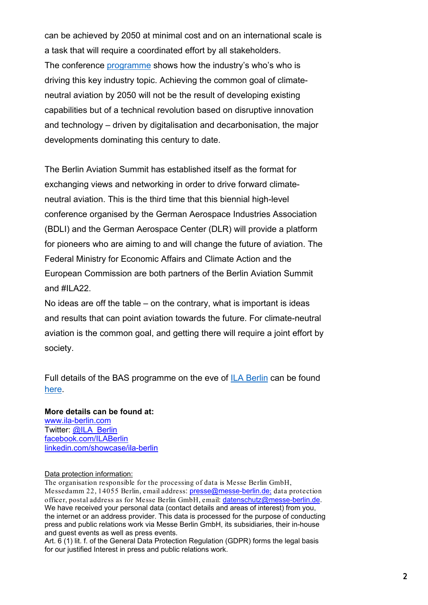can be achieved by 2050 at minimal cost and on an international scale is a task that will require a coordinated effort by all stakeholders. The conference [programme](https://www.ila-berlin.de/en/BAS-2022) shows how the industry's who's who is driving this key industry topic. Achieving the common goal of climateneutral aviation by 2050 will not be the result of developing existing capabilities but of a technical revolution based on disruptive innovation and technology – driven by digitalisation and decarbonisation, the major developments dominating this century to date.

The Berlin Aviation Summit has established itself as the format for exchanging views and networking in order to drive forward climateneutral aviation. This is the third time that this biennial high-level conference organised by the German Aerospace Industries Association (BDLI) and the German Aerospace Center (DLR) will provide a platform for pioneers who are aiming to and will change the future of aviation. The Federal Ministry for Economic Affairs and Climate Action and the European Commission are both partners of the Berlin Aviation Summit and  $\#$ II A22.

No ideas are off the table – on the contrary, what is important is ideas and results that can point aviation towards the future. For climate-neutral aviation is the common goal, and getting there will require a joint effort by society.

Full details of the BAS programme on the eve of [ILA Berlin](https://www.ila-berlin.de/de) can be found [here.](https://www.ila-berlin.de/en/BAS-2022)

## **More details can be found at:** [www.ila-berlin.com](http://www.ila-berlin.com/)

Twitter: [@ILA\\_Berlin](https://twitter.com/ila_berlin?lang=de) [facebook.com/ILABerlin](http://facebook.com/ILABerlin) [linkedin.com/showcase/ila-berlin](https://www.linkedin.com/showcase/ila-berlin)

## Data protection information:

The organisation responsible for the processing of data is Messe Berlin GmbH, Messedamm 22, 14055 Berlin, email address: [presse@messe-berlin.de](mailto:presse@messe-berlin.de); data protection officer, postal address as for Messe Berlin GmbH, email: [datenschutz@messe-berlin.de.](mailto:datenschutz@messe-berlin.de) We have received your personal data (contact details and areas of interest) from you, the internet or an address provider. This data is processed for the purpose of conducting press and public relations work via Messe Berlin GmbH, its subsidiaries, their in-house and guest events as well as press events.

Art. 6 (1) lit. f. of the General Data Protection Regulation (GDPR) forms the legal basis for our justified Interest in press and public relations work.